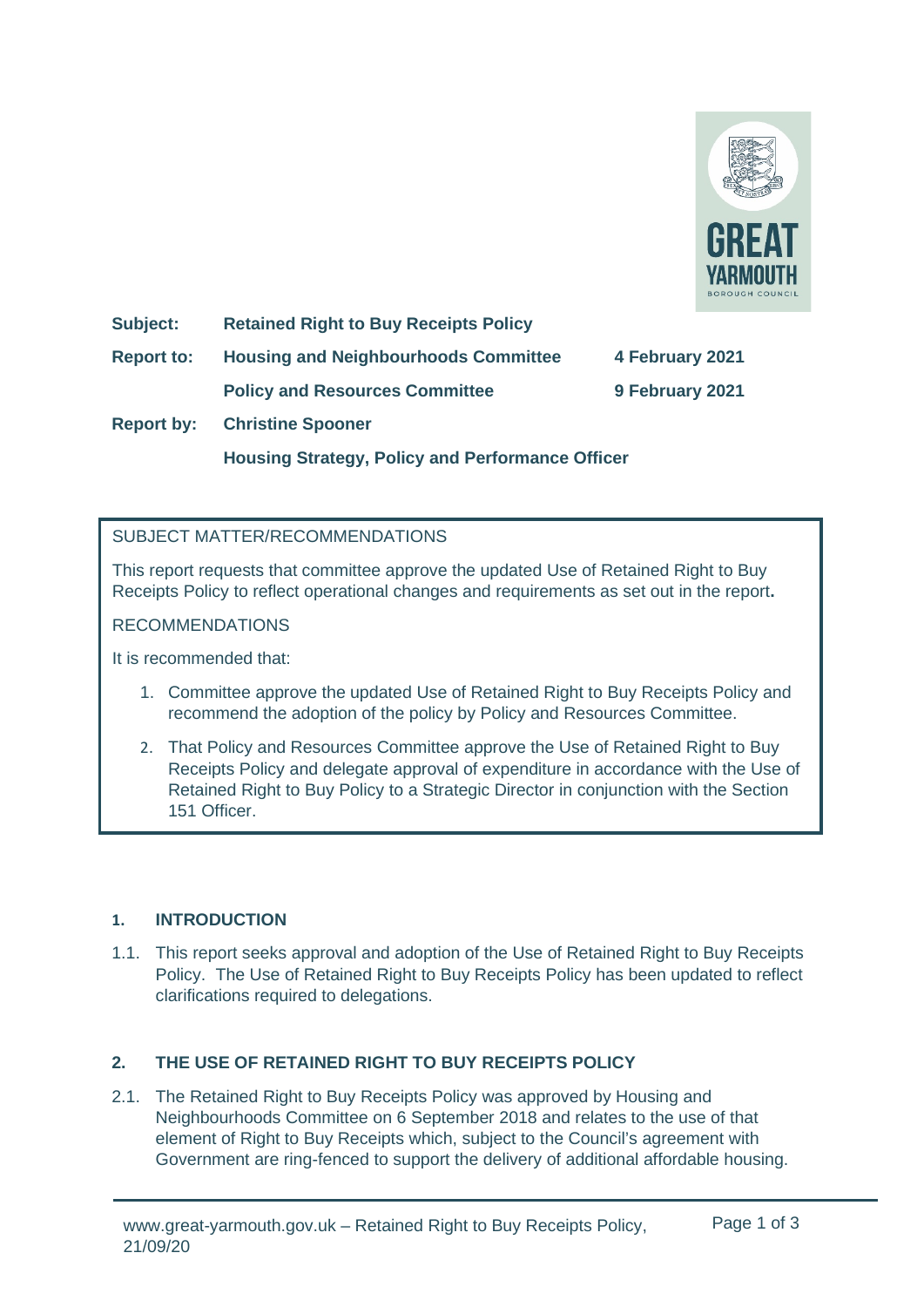

**Subject: Retained Right to Buy Receipts Policy**

**Report to: Housing and Neighbourhoods Committee 4 February 2021**

**Policy and Resources Committee 9 February 2021**

**Report by: Christine Spooner**

**Housing Strategy, Policy and Performance Officer**

## SUBJECT MATTER/RECOMMENDATIONS

This report requests that committee approve the updated Use of Retained Right to Buy Receipts Policy to reflect operational changes and requirements as set out in the report**.**

## RECOMMENDATIONS

It is recommended that:

- 1. Committee approve the updated Use of Retained Right to Buy Receipts Policy and recommend the adoption of the policy by Policy and Resources Committee.
- 2. That Policy and Resources Committee approve the Use of Retained Right to Buy Receipts Policy and delegate approval of expenditure in accordance with the Use of Retained Right to Buy Policy to a Strategic Director in conjunction with the Section 151 Officer.

## **1. INTRODUCTION**

1.1. This report seeks approval and adoption of the Use of Retained Right to Buy Receipts Policy. The Use of Retained Right to Buy Receipts Policy has been updated to reflect clarifications required to delegations.

## **2. THE USE OF RETAINED RIGHT TO BUY RECEIPTS POLICY**

2.1. The Retained Right to Buy Receipts Policy was approved by Housing and Neighbourhoods Committee on 6 September 2018 and relates to the use of that element of Right to Buy Receipts which, subject to the Council's agreement with Government are ring-fenced to support the delivery of additional affordable housing.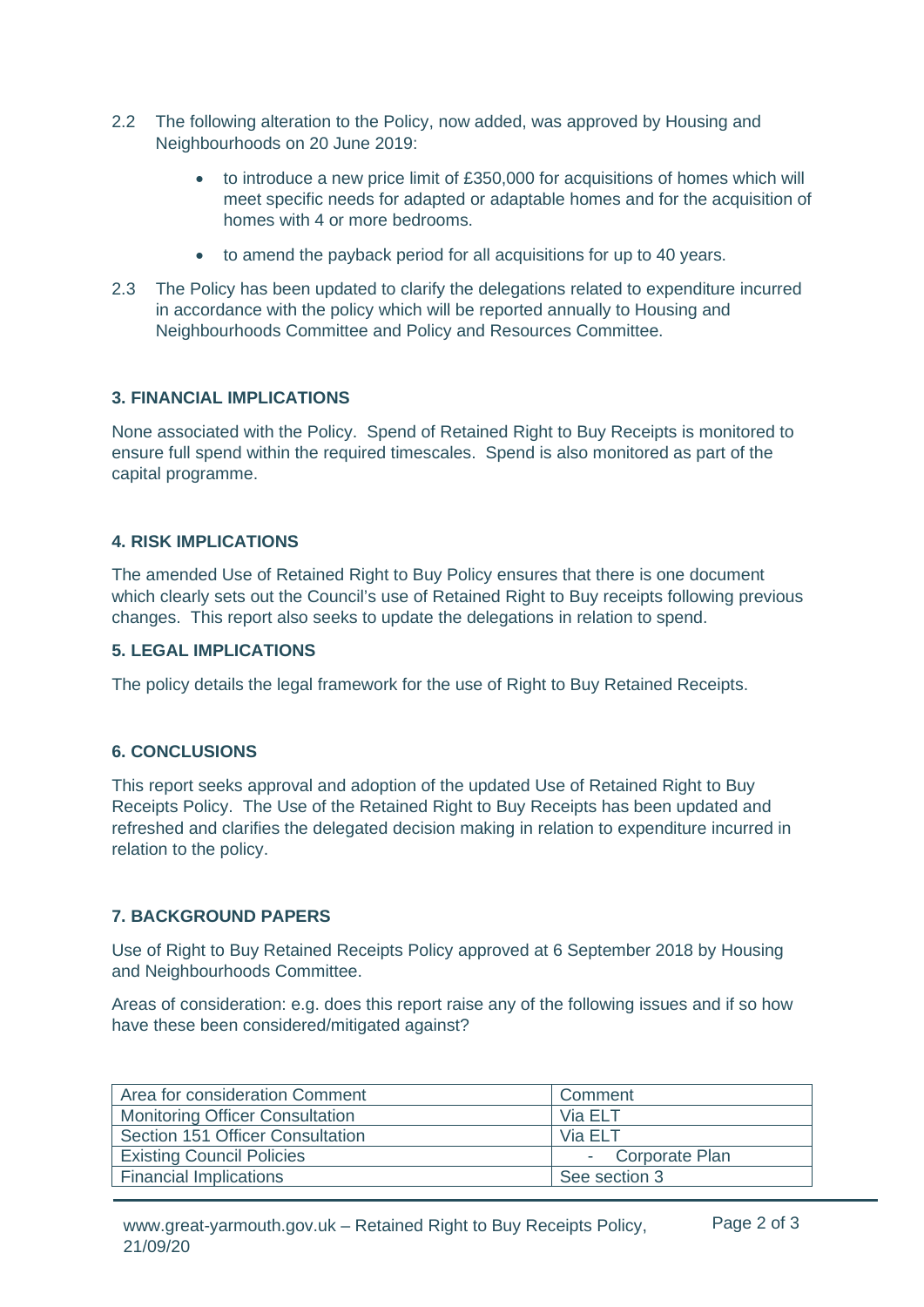- 2.2 The following alteration to the Policy, now added, was approved by Housing and Neighbourhoods on 20 June 2019:
	- to introduce a new price limit of £350,000 for acquisitions of homes which will meet specific needs for adapted or adaptable homes and for the acquisition of homes with 4 or more bedrooms.
	- to amend the payback period for all acquisitions for up to 40 years.
- 2.3 The Policy has been updated to clarify the delegations related to expenditure incurred in accordance with the policy which will be reported annually to Housing and Neighbourhoods Committee and Policy and Resources Committee.

#### **3. FINANCIAL IMPLICATIONS**

None associated with the Policy. Spend of Retained Right to Buy Receipts is monitored to ensure full spend within the required timescales. Spend is also monitored as part of the capital programme.

#### **4. RISK IMPLICATIONS**

The amended Use of Retained Right to Buy Policy ensures that there is one document which clearly sets out the Council's use of Retained Right to Buy receipts following previous changes. This report also seeks to update the delegations in relation to spend.

#### **5. LEGAL IMPLICATIONS**

The policy details the legal framework for the use of Right to Buy Retained Receipts.

#### **6. CONCLUSIONS**

This report seeks approval and adoption of the updated Use of Retained Right to Buy Receipts Policy. The Use of the Retained Right to Buy Receipts has been updated and refreshed and clarifies the delegated decision making in relation to expenditure incurred in relation to the policy.

#### **7. BACKGROUND PAPERS**

Use of Right to Buy Retained Receipts Policy approved at 6 September 2018 by Housing and Neighbourhoods Committee.

Areas of consideration: e.g. does this report raise any of the following issues and if so how have these been considered/mitigated against?

| Area for consideration Comment         | Comment          |
|----------------------------------------|------------------|
| <b>Monitoring Officer Consultation</b> | Via ELT          |
| Section 151 Officer Consultation       | Via FI T         |
| <b>Existing Council Policies</b>       | - Corporate Plan |
| <b>Financial Implications</b>          | See section 3    |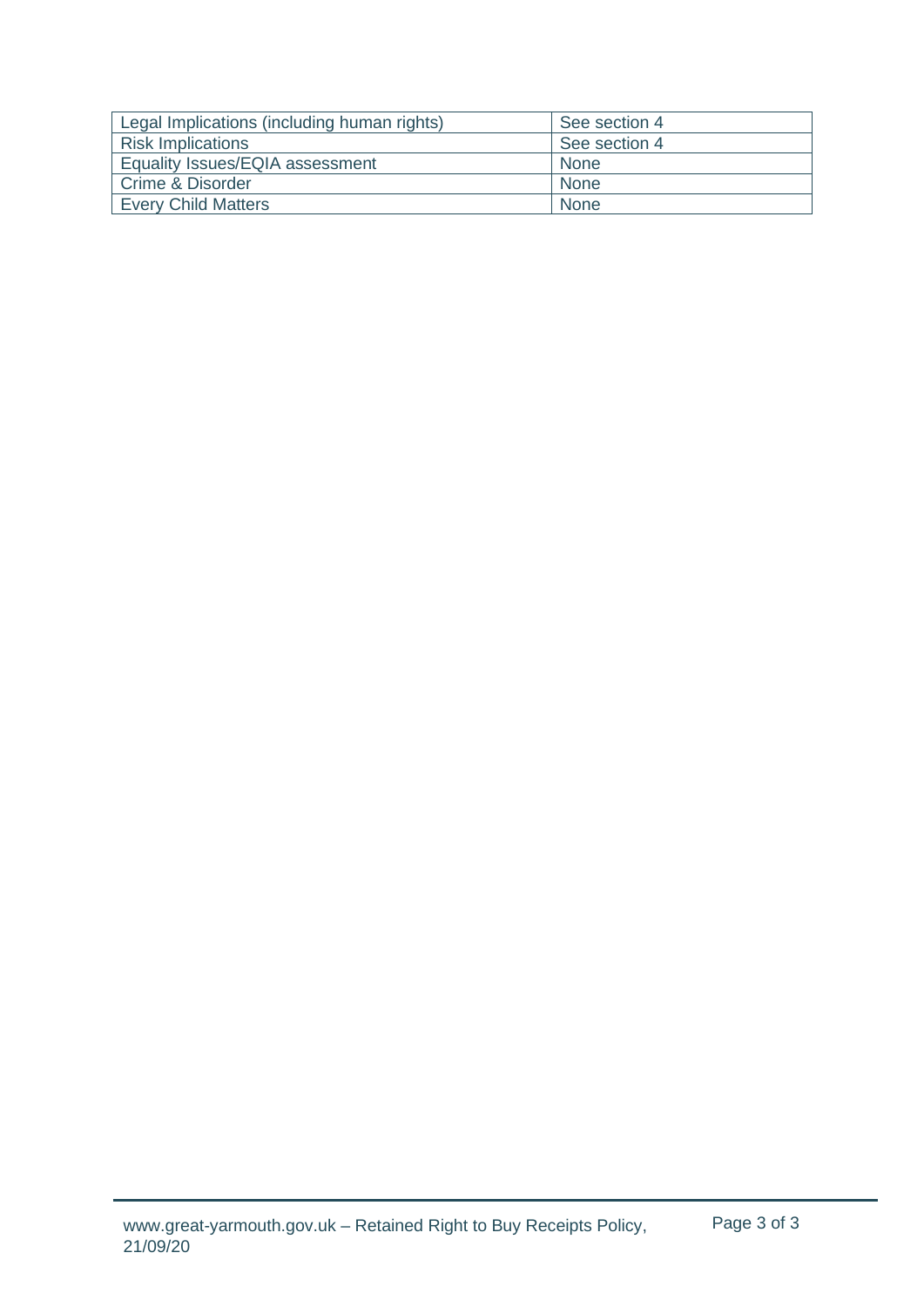| Legal Implications (including human rights) | See section 4 |
|---------------------------------------------|---------------|
| <b>Risk Implications</b>                    | See section 4 |
| Equality Issues/EQIA assessment             | None          |
| Crime & Disorder                            | None          |
| <b>Every Child Matters</b>                  | None          |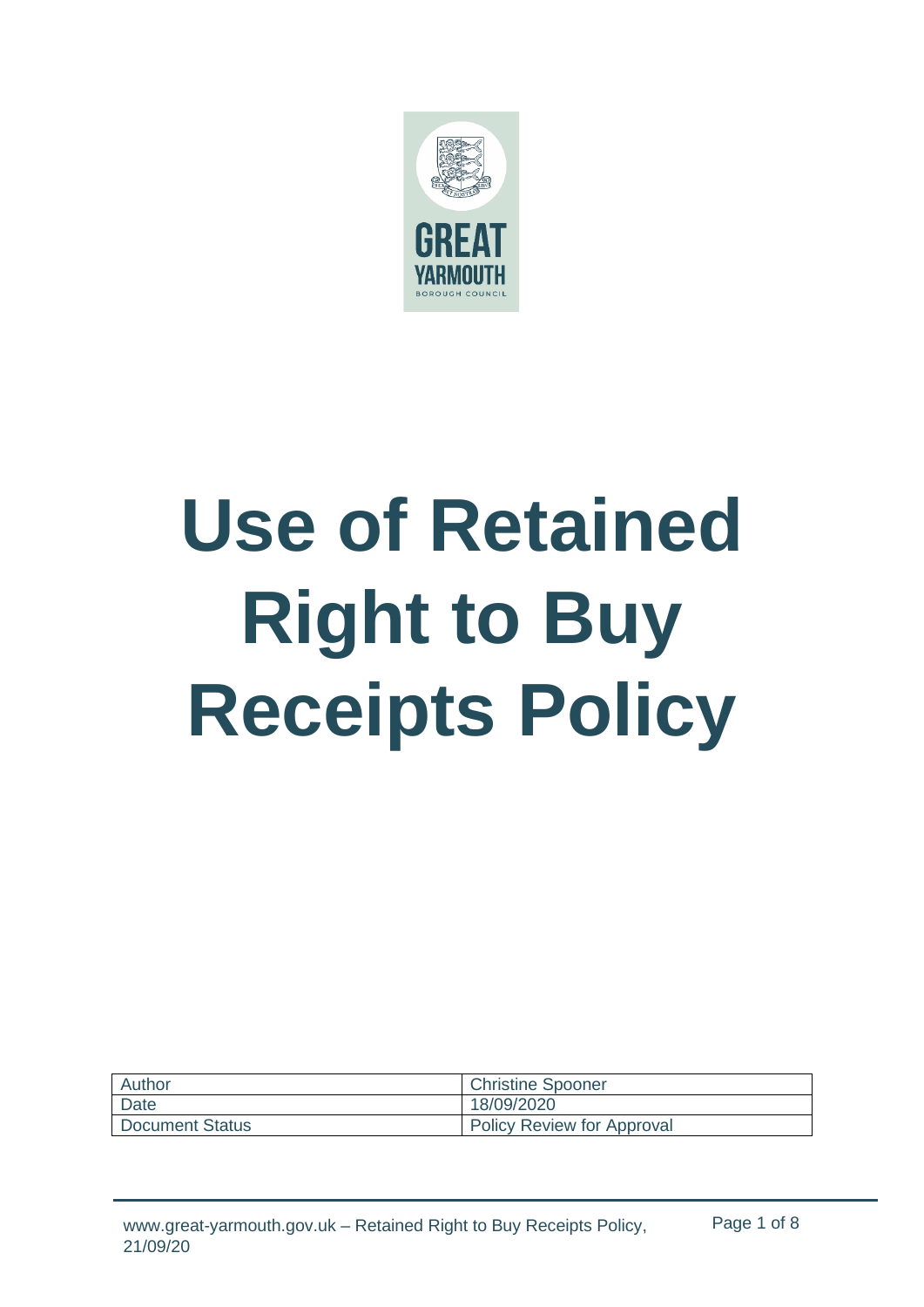

# **Use of Retained Right to Buy Receipts Policy**

| Author                 | <b>Christine Spooner</b>          |
|------------------------|-----------------------------------|
| Date                   | 18/09/2020                        |
| <b>Document Status</b> | <b>Policy Review for Approval</b> |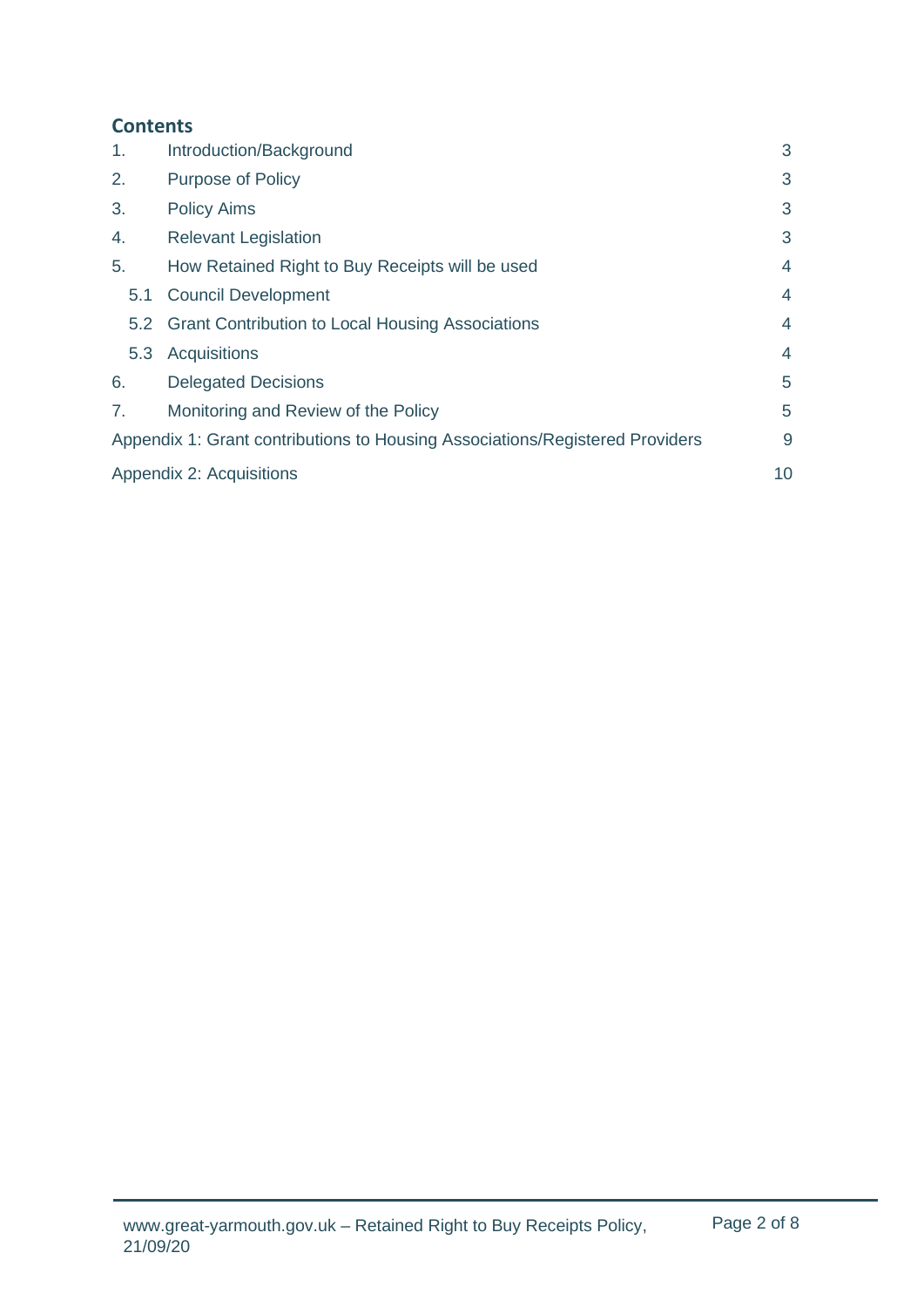# <span id="page-4-0"></span>**[Contents](#page-4-0)**

| 1.  | Introduction/Background                                                      | 3  |
|-----|------------------------------------------------------------------------------|----|
| 2.  | <b>Purpose of Policy</b>                                                     | 3  |
| 3.  | <b>Policy Aims</b>                                                           | 3  |
| 4.  | <b>Relevant Legislation</b>                                                  | 3  |
| 5.  | How Retained Right to Buy Receipts will be used                              | 4  |
| 5.1 | <b>Council Development</b>                                                   | 4  |
| 5.2 | <b>Grant Contribution to Local Housing Associations</b>                      | 4  |
| 5.3 | <b>Acquisitions</b>                                                          | 4  |
| 6.  | <b>Delegated Decisions</b>                                                   | 5  |
| 7.  | Monitoring and Review of the Policy                                          | 5  |
|     | Appendix 1: Grant contributions to Housing Associations/Registered Providers | 9  |
|     | Appendix 2: Acquisitions                                                     | 10 |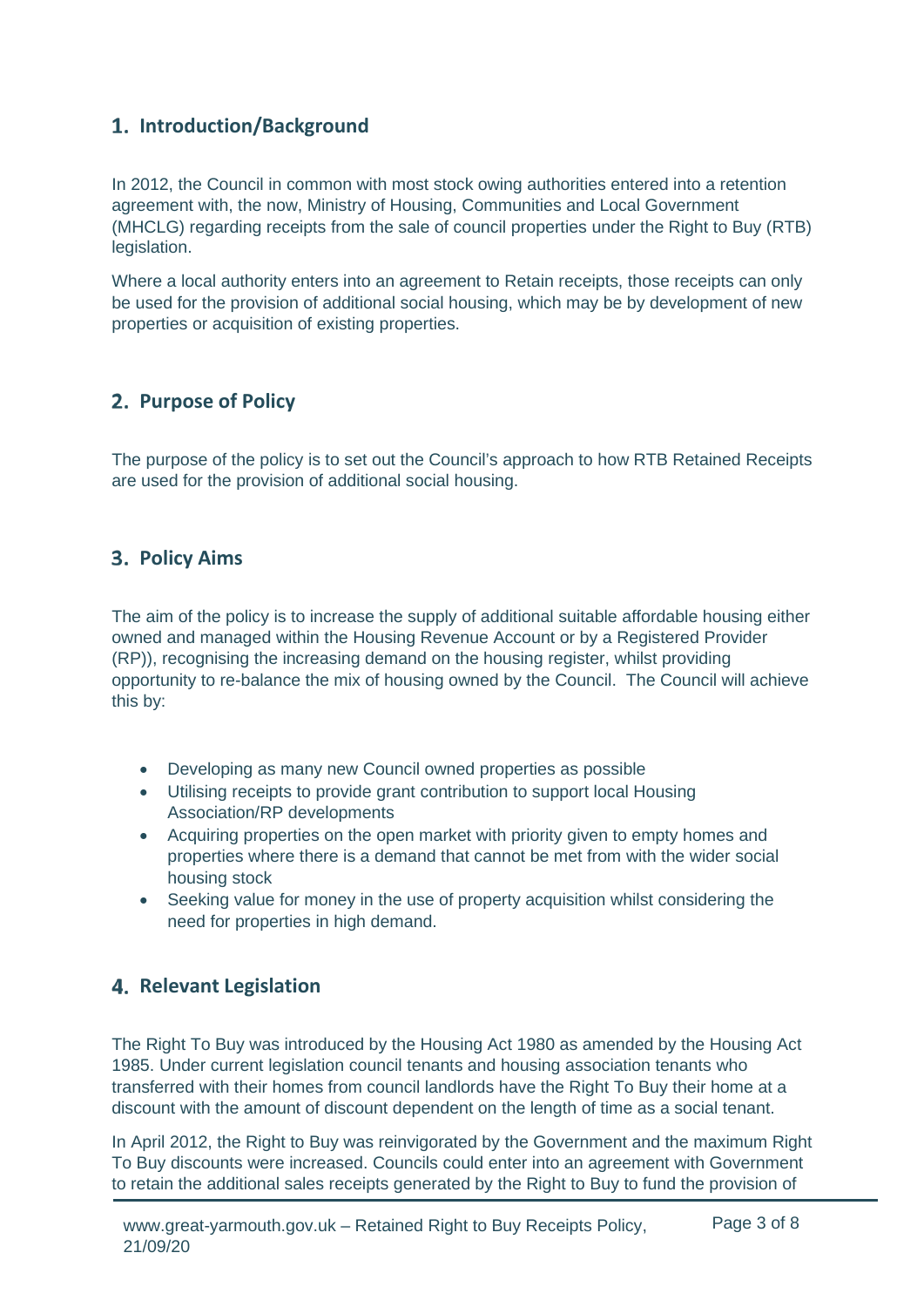# <span id="page-5-0"></span>**Introduction/Background**

In 2012, the Council in common with most stock owing authorities entered into a retention agreement with, the now, Ministry of Housing, Communities and Local Government (MHCLG) regarding receipts from the sale of council properties under the Right to Buy (RTB) legislation.

Where a local authority enters into an agreement to Retain receipts, those receipts can only be used for the provision of additional social housing, which may be by development of new properties or acquisition of existing properties.

## <span id="page-5-1"></span>**Purpose of Policy**

The purpose of the policy is to set out the Council's approach to how RTB Retained Receipts are used for the provision of additional social housing.

## <span id="page-5-2"></span>**3. Policy Aims**

The aim of the policy is to increase the supply of additional suitable affordable housing either owned and managed within the Housing Revenue Account or by a Registered Provider (RP)), recognising the increasing demand on the housing register, whilst providing opportunity to re-balance the mix of housing owned by the Council. The Council will achieve this by:

- Developing as many new Council owned properties as possible
- Utilising receipts to provide grant contribution to support local Housing Association/RP developments
- Acquiring properties on the open market with priority given to empty homes and properties where there is a demand that cannot be met from with the wider social housing stock
- Seeking value for money in the use of property acquisition whilst considering the need for properties in high demand.

## <span id="page-5-3"></span>**4. Relevant Legislation**

The Right To Buy was introduced by the Housing Act 1980 as amended by the Housing Act 1985. Under current legislation council tenants and housing association tenants who transferred with their homes from council landlords have the Right To Buy their home at a discount with the amount of discount dependent on the length of time as a social tenant.

In April 2012, the Right to Buy was reinvigorated by the Government and the maximum Right To Buy discounts were increased. Councils could enter into an agreement with Government to retain the additional sales receipts generated by the Right to Buy to fund the provision of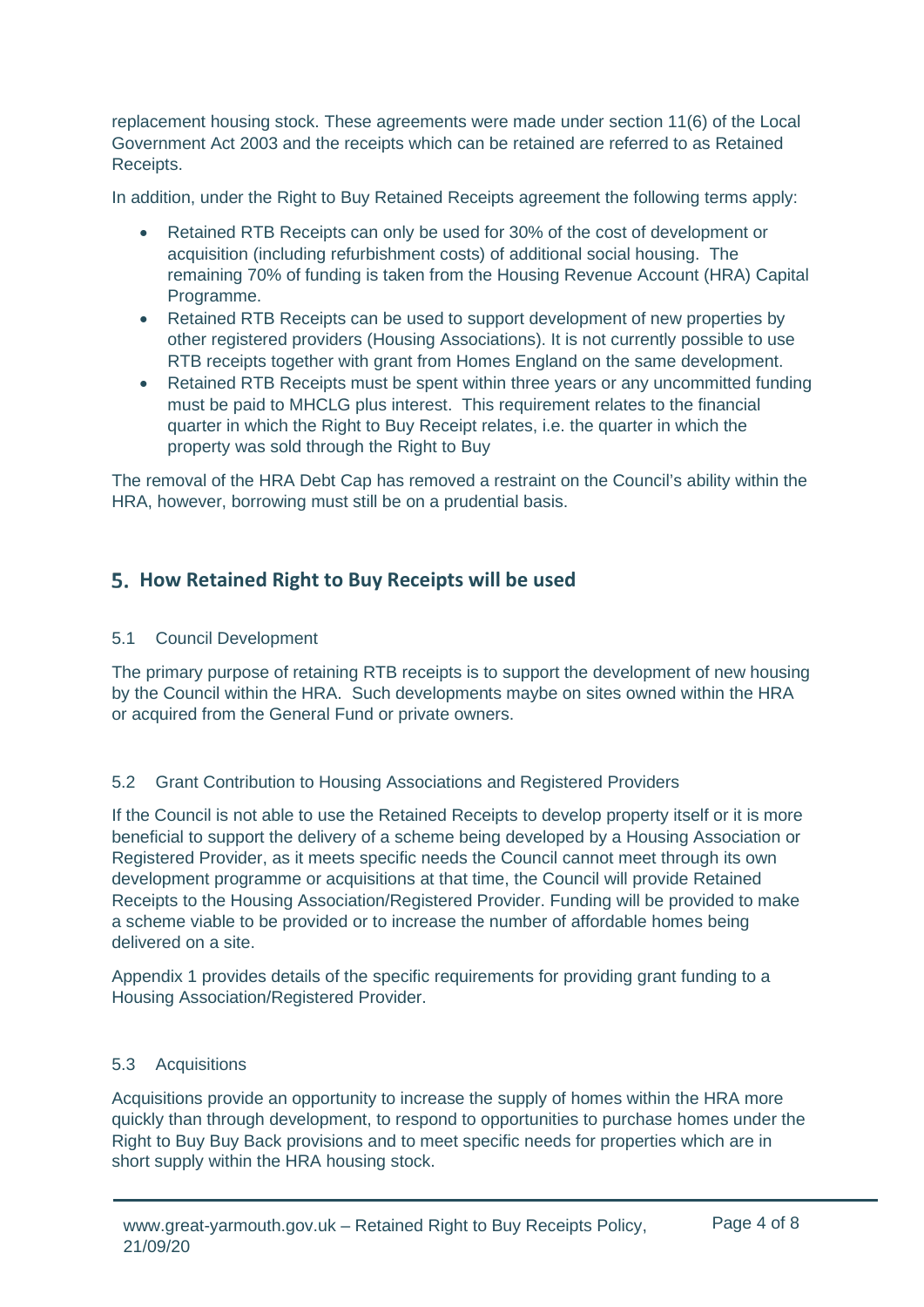replacement housing stock. These agreements were made under section 11(6) of the Local Government Act 2003 and the receipts which can be retained are referred to as Retained Receipts.

In addition, under the Right to Buy Retained Receipts agreement the following terms apply:

- Retained RTB Receipts can only be used for 30% of the cost of development or acquisition (including refurbishment costs) of additional social housing. The remaining 70% of funding is taken from the Housing Revenue Account (HRA) Capital Programme.
- Retained RTB Receipts can be used to support development of new properties by other registered providers (Housing Associations). It is not currently possible to use RTB receipts together with grant from Homes England on the same development.
- Retained RTB Receipts must be spent within three years or any uncommitted funding must be paid to MHCLG plus interest. This requirement relates to the financial quarter in which the Right to Buy Receipt relates, i.e. the quarter in which the property was sold through the Right to Buy

The removal of the HRA Debt Cap has removed a restraint on the Council's ability within the HRA, however, borrowing must still be on a prudential basis.

## <span id="page-6-0"></span>**How Retained Right to Buy Receipts will be used**

## <span id="page-6-1"></span>5.1 Council Development

The primary purpose of retaining RTB receipts is to support the development of new housing by the Council within the HRA. Such developments maybe on sites owned within the HRA or acquired from the General Fund or private owners.

## <span id="page-6-2"></span>5.2 Grant Contribution to Housing Associations and Registered Providers

If the Council is not able to use the Retained Receipts to develop property itself or it is more beneficial to support the delivery of a scheme being developed by a Housing Association or Registered Provider, as it meets specific needs the Council cannot meet through its own development programme or acquisitions at that time, the Council will provide Retained Receipts to the Housing Association/Registered Provider. Funding will be provided to make a scheme viable to be provided or to increase the number of affordable homes being delivered on a site.

Appendix 1 provides details of the specific requirements for providing grant funding to a Housing Association/Registered Provider.

#### <span id="page-6-3"></span>5.3 Acquisitions

Acquisitions provide an opportunity to increase the supply of homes within the HRA more quickly than through development, to respond to opportunities to purchase homes under the Right to Buy Buy Back provisions and to meet specific needs for properties which are in short supply within the HRA housing stock.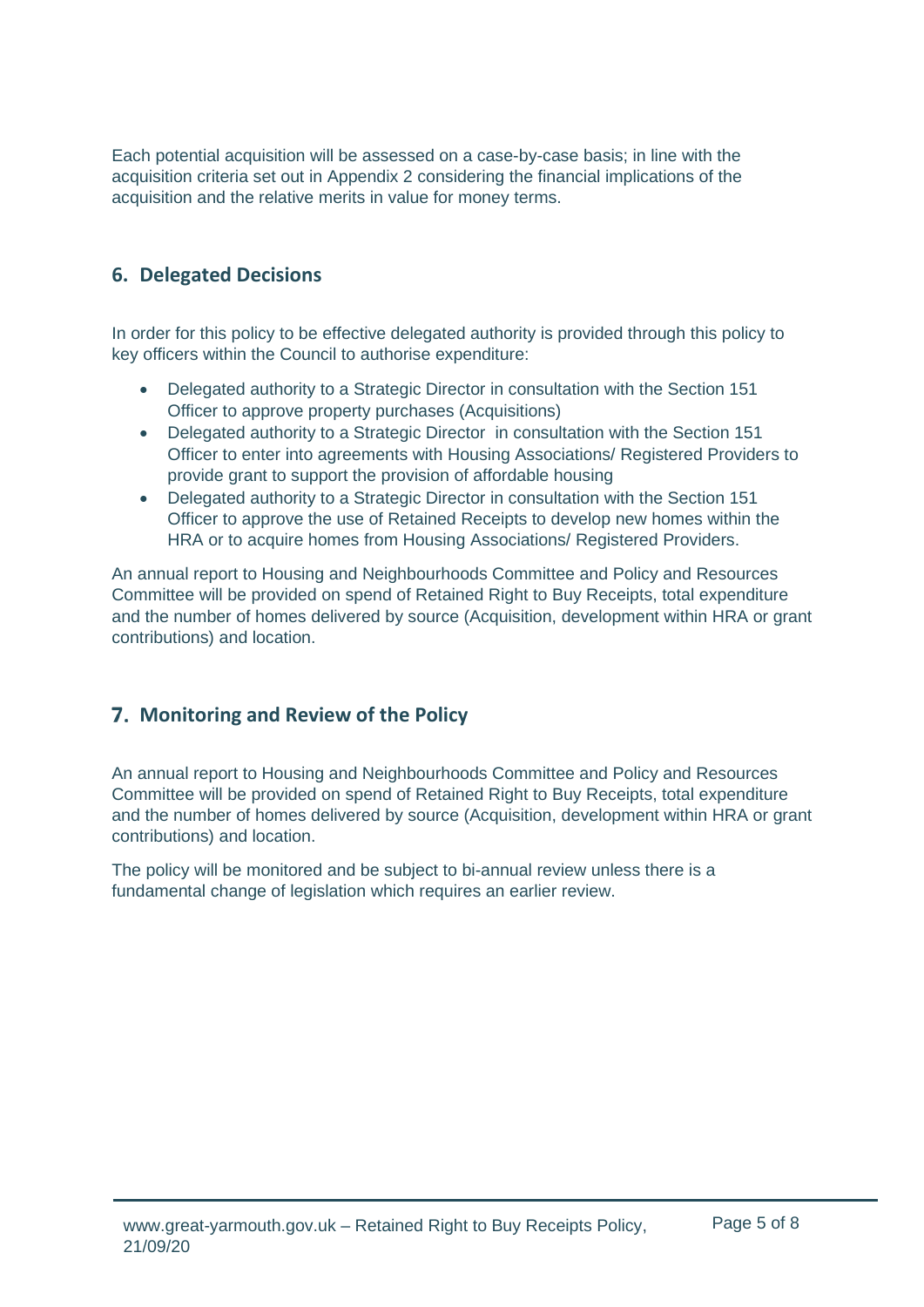Each potential acquisition will be assessed on a case-by-case basis; in line with the acquisition criteria set out in Appendix 2 considering the financial implications of the acquisition and the relative merits in value for money terms.

## <span id="page-7-0"></span>**6. Delegated Decisions**

In order for this policy to be effective delegated authority is provided through this policy to key officers within the Council to authorise expenditure:

- Delegated authority to a Strategic Director in consultation with the Section 151 Officer to approve property purchases (Acquisitions)
- Delegated authority to a Strategic Director in consultation with the Section 151 Officer to enter into agreements with Housing Associations/ Registered Providers to provide grant to support the provision of affordable housing
- Delegated authority to a Strategic Director in consultation with the Section 151 Officer to approve the use of Retained Receipts to develop new homes within the HRA or to acquire homes from Housing Associations/ Registered Providers.

An annual report to Housing and Neighbourhoods Committee and Policy and Resources Committee will be provided on spend of Retained Right to Buy Receipts, total expenditure and the number of homes delivered by source (Acquisition, development within HRA or grant contributions) and location.

# <span id="page-7-1"></span>**Monitoring and Review of the Policy**

An annual report to Housing and Neighbourhoods Committee and Policy and Resources Committee will be provided on spend of Retained Right to Buy Receipts, total expenditure and the number of homes delivered by source (Acquisition, development within HRA or grant contributions) and location.

The policy will be monitored and be subject to bi-annual review unless there is a fundamental change of legislation which requires an earlier review.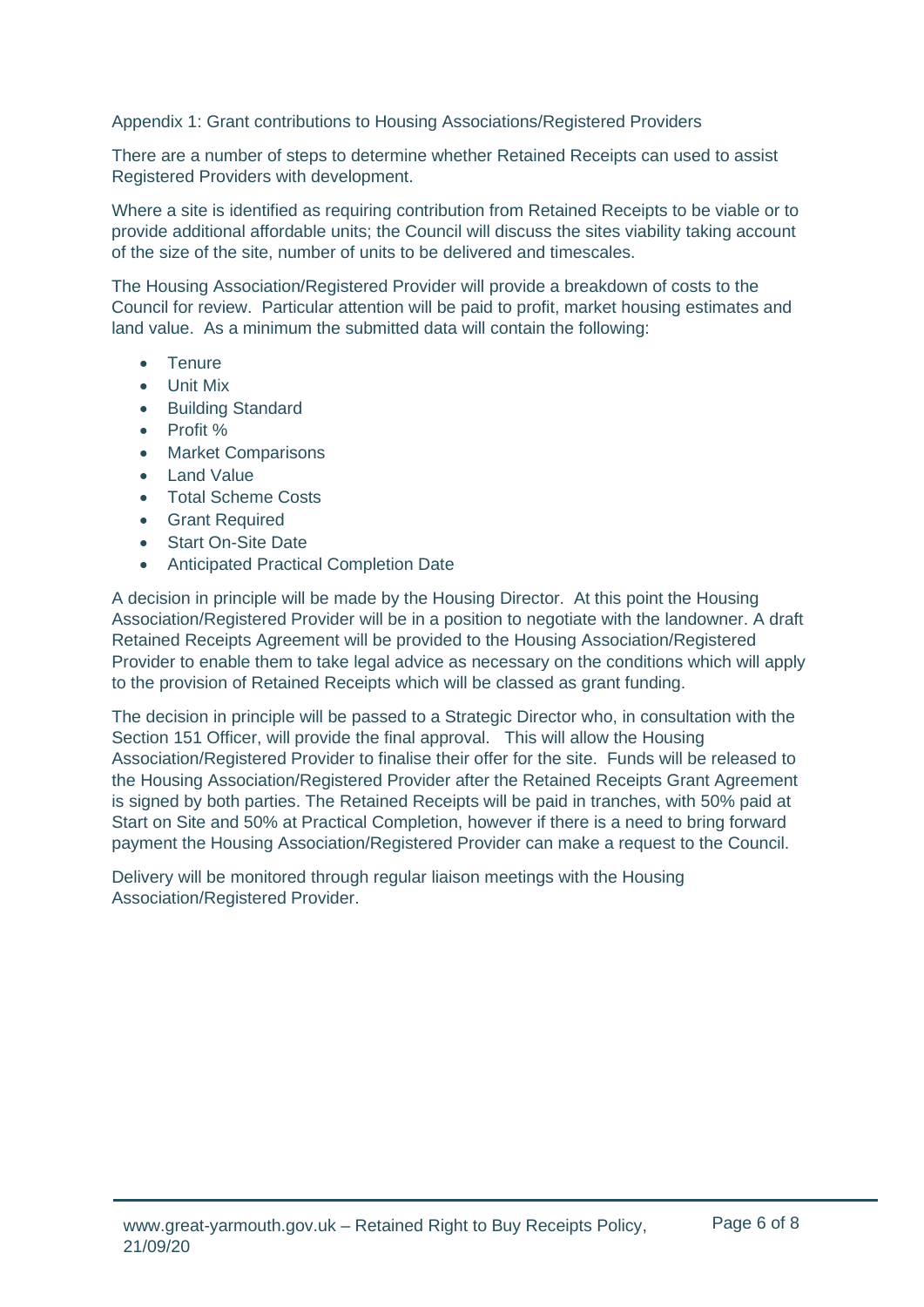Appendix 1: Grant contributions to Housing Associations/Registered Providers

There are a number of steps to determine whether Retained Receipts can used to assist Registered Providers with development.

Where a site is identified as requiring contribution from Retained Receipts to be viable or to provide additional affordable units; the Council will discuss the sites viability taking account of the size of the site, number of units to be delivered and timescales.

The Housing Association/Registered Provider will provide a breakdown of costs to the Council for review. Particular attention will be paid to profit, market housing estimates and land value. As a minimum the submitted data will contain the following:

- Tenure
- Unit Mix
- Building Standard
- Profit %
- Market Comparisons
- Land Value
- Total Scheme Costs
- Grant Required
- Start On-Site Date
- Anticipated Practical Completion Date

A decision in principle will be made by the Housing Director. At this point the Housing Association/Registered Provider will be in a position to negotiate with the landowner. A draft Retained Receipts Agreement will be provided to the Housing Association/Registered Provider to enable them to take legal advice as necessary on the conditions which will apply to the provision of Retained Receipts which will be classed as grant funding.

The decision in principle will be passed to a Strategic Director who, in consultation with the Section 151 Officer, will provide the final approval. This will allow the Housing Association/Registered Provider to finalise their offer for the site. Funds will be released to the Housing Association/Registered Provider after the Retained Receipts Grant Agreement is signed by both parties. The Retained Receipts will be paid in tranches, with 50% paid at Start on Site and 50% at Practical Completion, however if there is a need to bring forward payment the Housing Association/Registered Provider can make a request to the Council.

Delivery will be monitored through regular liaison meetings with the Housing Association/Registered Provider.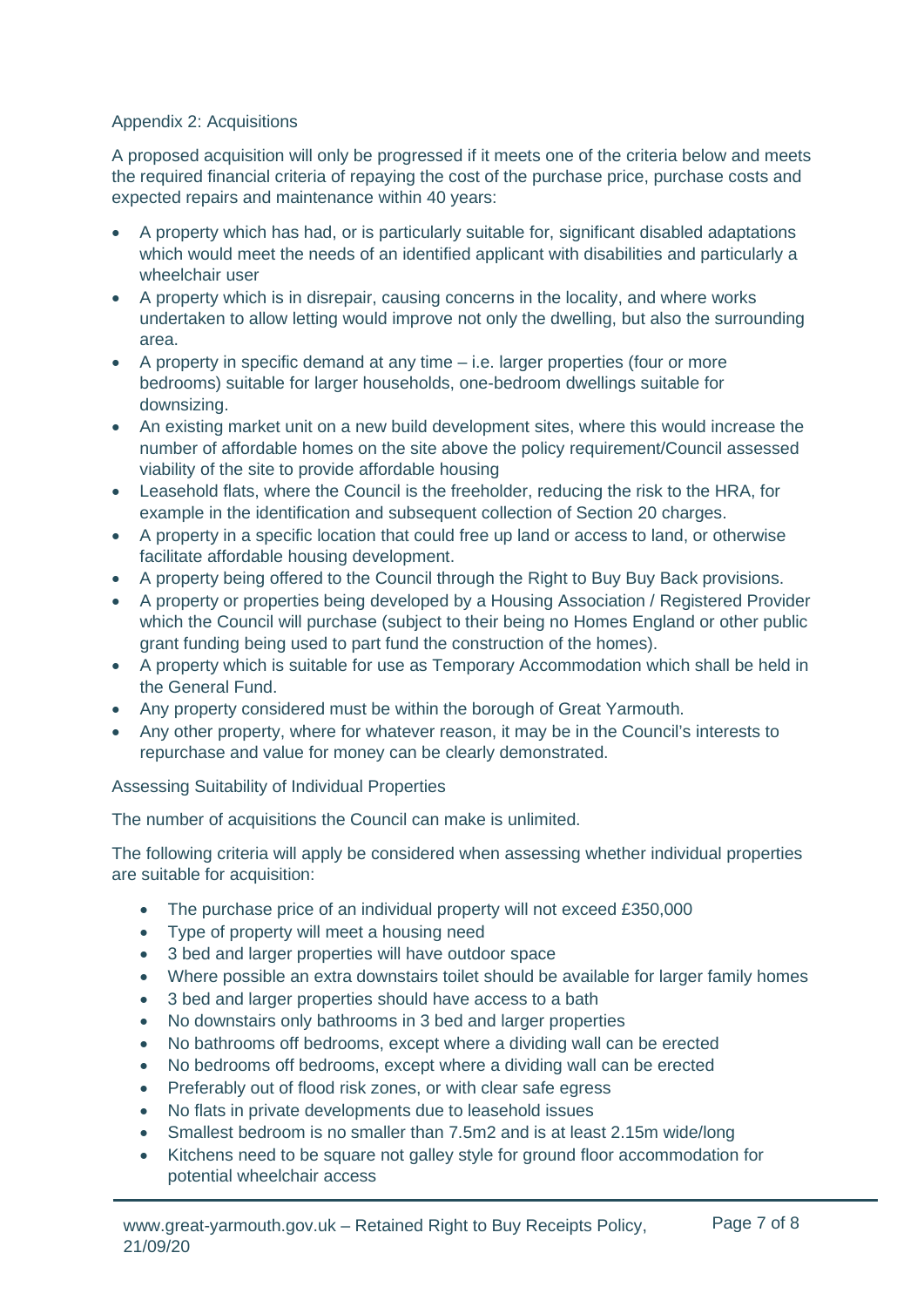#### Appendix 2: Acquisitions

A proposed acquisition will only be progressed if it meets one of the criteria below and meets the required financial criteria of repaying the cost of the purchase price, purchase costs and expected repairs and maintenance within 40 years:

- A property which has had, or is particularly suitable for, significant disabled adaptations which would meet the needs of an identified applicant with disabilities and particularly a wheelchair user
- A property which is in disrepair, causing concerns in the locality, and where works undertaken to allow letting would improve not only the dwelling, but also the surrounding area.
- A property in specific demand at any time i.e. larger properties (four or more bedrooms) suitable for larger households, one-bedroom dwellings suitable for downsizing.
- An existing market unit on a new build development sites, where this would increase the number of affordable homes on the site above the policy requirement/Council assessed viability of the site to provide affordable housing
- Leasehold flats, where the Council is the freeholder, reducing the risk to the HRA, for example in the identification and subsequent collection of Section 20 charges.
- A property in a specific location that could free up land or access to land, or otherwise facilitate affordable housing development.
- A property being offered to the Council through the Right to Buy Buy Back provisions.
- A property or properties being developed by a Housing Association / Registered Provider which the Council will purchase (subject to their being no Homes England or other public grant funding being used to part fund the construction of the homes).
- A property which is suitable for use as Temporary Accommodation which shall be held in the General Fund.
- Any property considered must be within the borough of Great Yarmouth.
- Any other property, where for whatever reason, it may be in the Council's interests to repurchase and value for money can be clearly demonstrated.

Assessing Suitability of Individual Properties

The number of acquisitions the Council can make is unlimited.

The following criteria will apply be considered when assessing whether individual properties are suitable for acquisition:

- The purchase price of an individual property will not exceed £350,000
- Type of property will meet a housing need
- 3 bed and larger properties will have outdoor space
- Where possible an extra downstairs toilet should be available for larger family homes
- 3 bed and larger properties should have access to a bath
- No downstairs only bathrooms in 3 bed and larger properties
- No bathrooms off bedrooms, except where a dividing wall can be erected
- No bedrooms off bedrooms, except where a dividing wall can be erected
- Preferably out of flood risk zones, or with clear safe egress
- No flats in private developments due to leasehold issues
- Smallest bedroom is no smaller than 7.5m2 and is at least 2.15m wide/long
- Kitchens need to be square not galley style for ground floor accommodation for potential wheelchair access